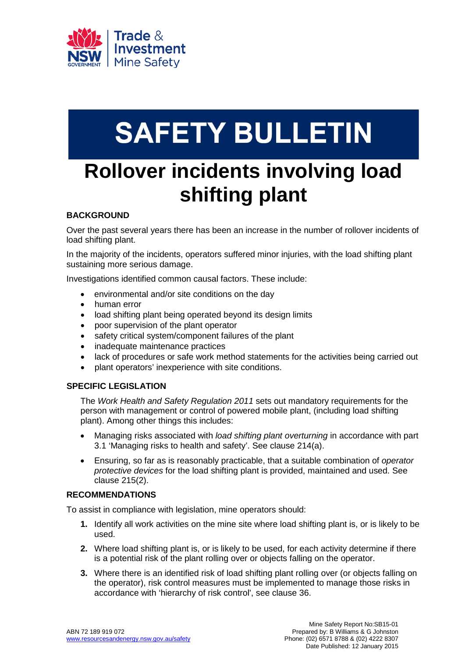

# **SAFETY BULLETIN**

## **Rollover incidents involving load shifting plant**

### **BACKGROUND**

Over the past several years there has been an increase in the number of rollover incidents of load shifting plant.

In the majority of the incidents, operators suffered minor injuries, with the load shifting plant sustaining more serious damage.

Investigations identified common causal factors. These include:

- environmental and/or site conditions on the day
- human error
- load shifting plant being operated beyond its design limits
- poor supervision of the plant operator
- safety critical system/component failures of the plant
- inadequate maintenance practices
- lack of procedures or safe work method statements for the activities being carried out
- plant operators' inexperience with site conditions.

#### **SPECIFIC LEGISLATION**

The *Work Health and Safety Regulation 2011* sets out mandatory requirements for the person with management or control of powered mobile plant, (including load shifting plant). Among other things this includes:

- Managing risks associated with *load shifting plant overturning* in accordance with part 3.1 'Managing risks to health and safety'. See clause 214(a).
- Ensuring, so far as is reasonably practicable, that a suitable combination of *operator protective devices* for the load shifting plant is provided, maintained and used. See clause 215(2).

#### **RECOMMENDATIONS**

To assist in compliance with legislation, mine operators should:

- **1.** Identify all work activities on the mine site where load shifting plant is, or is likely to be used.
- **2.** Where load shifting plant is, or is likely to be used, for each activity determine if there is a potential risk of the plant rolling over or objects falling on the operator.
- **3.** Where there is an identified risk of load shifting plant rolling over (or objects falling on the operator), risk control measures must be implemented to manage those risks in accordance with 'hierarchy of risk control', see clause 36.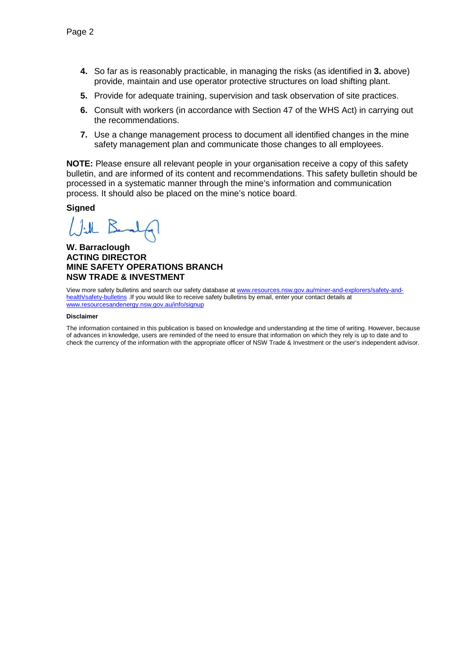- **4.** So far as is reasonably practicable, in managing the risks (as identified in **3.** above) provide, maintain and use operator protective structures on load shifting plant.
- **5.** Provide for adequate training, supervision and task observation of site practices.
- **6.** Consult with workers (in accordance with Section 47 of the WHS Act) in carrying out the recommendations.
- **7.** Use a change management process to document all identified changes in the mine safety management plan and communicate those changes to all employees.

**NOTE:** Please ensure all relevant people in your organisation receive a copy of this safety bulletin, and are informed of its content and recommendations. This safety bulletin should be processed in a systematic manner through the mine's information and communication process. It should also be placed on the mine's notice board.

#### **Signed**

 $1.11$ R

#### **W. Barraclough ACTING DIRECTOR MINE SAFETY OPERATIONS BRANCH NSW TRADE & INVESTMENT**

View more safety bulletins and search our safety database a[t www.resources.nsw.gov.au/miner-and-explorers/safety-and](http://www.resources.nsw.gov.au/miner-and-explorers/safety-and-health/safety-bulletins)[health/safety-bulletins](http://www.resources.nsw.gov.au/miner-and-explorers/safety-and-health/safety-bulletins) .If you would like to receive safety bulletins by email, enter your contact details at [www.resourcesandenergy.nsw.gov.au/info/signup](http://www.resourcesandenergy.nsw.gov.au/info/signup)

#### **Disclaimer**

The information contained in this publication is based on knowledge and understanding at the time of writing. However, because of advances in knowledge, users are reminded of the need to ensure that information on which they rely is up to date and to check the currency of the information with the appropriate officer of NSW Trade & Investment or the user's independent advisor.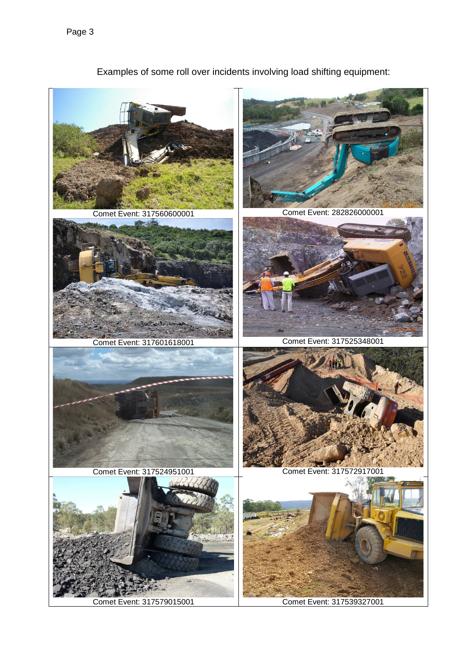

Examples of some roll over incidents involving load shifting equipment: